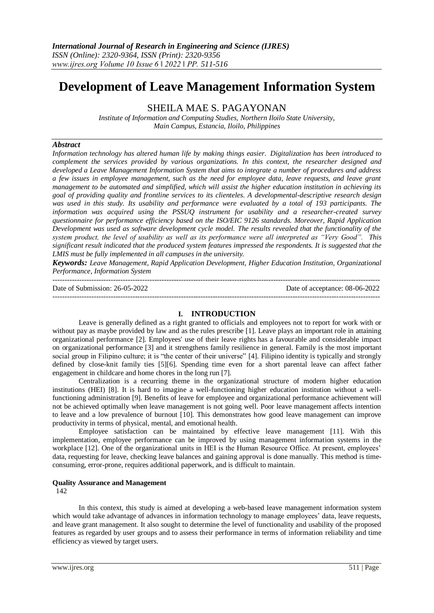# **Development of Leave Management Information System**

SHEILA MAE S. PAGAYONAN

*Institute of Information and Computing Studies, Northern Iloilo State University, Main Campus, Estancia, Iloilo, Philippines*

## *Abstract*

*Information technology has altered human life by making things easier. Digitalization has been introduced to complement the services provided by various organizations. In this context, the researcher designed and developed a Leave Management Information System that aims to integrate a number of procedures and address a few issues in employee management, such as the need for employee data, leave requests, and leave grant management to be automated and simplified, which will assist the higher education institution in achieving its goal of providing quality and frontline services to its clienteles. A developmental-descriptive research design was used in this study. Its usability and performance were evaluated by a total of 193 participants. The information was acquired using the PSSUQ instrument for usability and a researcher-created survey questionnaire for performance efficiency based on the ISO/EIC 9126 standards. Moreover, Rapid Application Development was used as software development cycle model. The results revealed that the functionality of the system product, the level of usability as well as its performance were all interpreted as "Very Good". This significant result indicated that the produced system features impressed the respondents. It is suggested that the LMIS must be fully implemented in all campuses in the university.*

*Keywords: Leave Management, Rapid Application Development, Higher Education Institution, Organizational Performance, Information System*

| Date of Submission: 26-05-2022 | Date of acceptance: 08-06-2022 |
|--------------------------------|--------------------------------|
|                                |                                |

## **I. INTRODUCTION**

Leave is generally defined as a right granted to officials and employees not to report for work with or without pay as maybe provided by law and as the rules prescribe [1]. Leave plays an important role in attaining organizational performance [2]. Employees' use of their leave rights has a favourable and considerable impact on organizational performance [3] and it strengthens family resilience in general. Family is the most important social group in Filipino culture; it is "the center of their universe" [4]. Filipino identity is typically and strongly defined by close-knit family ties [5][6]. Spending time even for a short parental leave can affect father engagement in childcare and home chores in the long run [7].

Centralization is a recurring theme in the organizational structure of modern higher education institutions (HEI) [8]. It is hard to imagine a well-functioning higher education institution without a wellfunctioning administration [9]. Benefits of leave for employee and organizational performance achievement will not be achieved optimally when leave management is not going well. Poor leave management affects intention to leave and a low prevalence of burnout [10]. This demonstrates how good leave management can improve productivity in terms of physical, mental, and emotional health.

Employee satisfaction can be maintained by effective leave management [11]. With this implementation, employee performance can be improved by using management information systems in the workplace [12]. One of the organizational units in HEI is the Human Resource Office. At present, employees' data, requesting for leave, checking leave balances and gaining approval is done manually. This method is timeconsuming, error-prone, requires additional paperwork, and is difficult to maintain.

#### **Quality Assurance and Management**

142

In this context, this study is aimed at developing a web-based leave management information system which would take advantage of advances in information technology to manage employees' data, leave requests, and leave grant management. It also sought to determine the level of functionality and usability of the proposed features as regarded by user groups and to assess their performance in terms of information reliability and time efficiency as viewed by target users.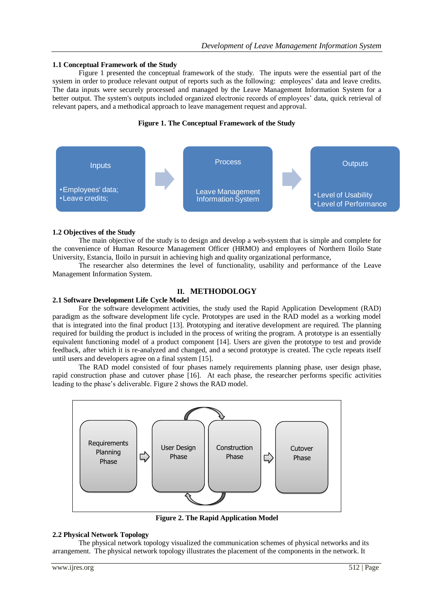## **1.1 Conceptual Framework of the Study**

Figure 1 presented the conceptual framework of the study. The inputs were the essential part of the system in order to produce relevant output of reports such as the following: employees' data and leave credits. The data inputs were securely processed and managed by the Leave Management Information System for a better output. The system's outputs included organized electronic records of employees' data, quick retrieval of relevant papers, and a methodical approach to leave management request and approval.

## **Figure 1. The Conceptual Framework of the Study**



## **1.2 Objectives of the Study**

The main objective of the study is to design and develop a web-system that is simple and complete for the convenience of Human Resource Management Officer (HRMO) and employees of Northern Iloilo State University, Estancia, Iloilo in pursuit in achieving high and quality organizational performance,

The researcher also determines the level of functionality, usability and performance of the Leave Management Information System.

# **II. METHODOLOGY**

# **2.1 Software Development Life Cycle Model**

For the software development activities, the study used the Rapid Application Development (RAD) paradigm as the software development life cycle. Prototypes are used in the RAD model as a working model that is integrated into the final product [13]. Prototyping and iterative development are required. The planning required for building the product is included in the process of writing the program. A prototype is an essentially equivalent functioning model of a product component [14]. Users are given the prototype to test and provide feedback, after which it is re-analyzed and changed, and a second prototype is created. The cycle repeats itself until users and developers agree on a final system [15].

The RAD model consisted of four phases namely requirements planning phase, user design phase, rapid construction phase and cutover phase [16]. At each phase, the researcher performs specific activities leading to the phase's deliverable. Figure 2 shows the RAD model.



**Figure 2. The Rapid Application Model**

# **2.2 Physical Network Topology**

The physical network topology visualized the communication schemes of physical networks and its arrangement. The physical network topology illustrates the placement of the components in the network. It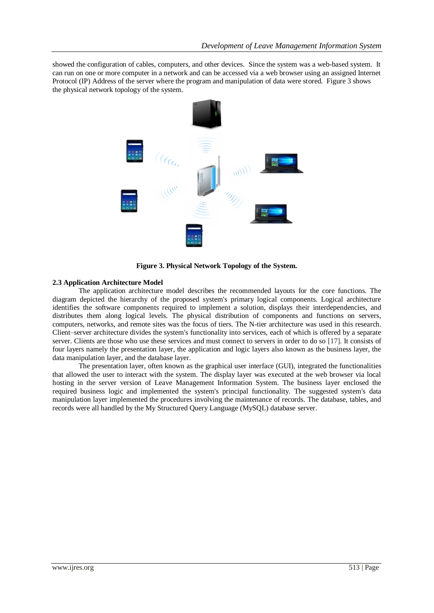showed the configuration of cables, computers, and other devices. Since the system was a web-based system. It can run on one or more computer in a network and can be accessed via a web browser using an assigned Internet Protocol (IP) Address of the server where the program and manipulation of data were stored. Figure 3 shows the physical network topology of the system.



**Figure 3. Physical Network Topology of the System.**

# **2.3 Application Architecture Model**

The application architecture model describes the recommended layouts for the core functions. The diagram depicted the hierarchy of the proposed system's primary logical components. Logical architecture identifies the software components required to implement a solution, displays their interdependencies, and distributes them along logical levels. The physical distribution of components and functions on servers, computers, networks, and remote sites was the focus of tiers. The N-tier architecture was used in this research. Client–server architecture divides the system's functionality into services, each of which is offered by a separate server. Clients are those who use these services and must connect to servers in order to do so [17]. It consists of four layers namely the presentation layer, the application and logic layers also known as the business layer, the data manipulation layer, and the database layer.

The presentation layer, often known as the graphical user interface (GUI), integrated the functionalities that allowed the user to interact with the system. The display layer was executed at the web browser via local hosting in the server version of Leave Management Information System. The business layer enclosed the required business logic and implemented the system's principal functionality. The suggested system's data manipulation layer implemented the procedures involving the maintenance of records. The database, tables, and records were all handled by the My Structured Query Language (MySQL) database server.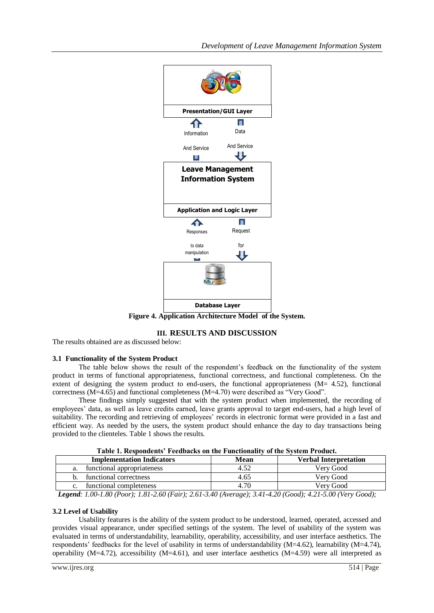

Figure 4. Application Architecture Model of the System.

# **III. RESULTS AND DISCUSSION**

The results obtained are as discussed below:

# **3.1 Functionality of the System Product**

The table below shows the result of the respondent's feedback on the functionality of the system product in terms of functional appropriateness, functional correctness, and functional completeness. On the extent of designing the system product to end-users, the functional appropriateness  $(M= 4.52)$ , functional correctness (M=4.65) and functional completeness (M=4.70) were described as "Very Good".

These findings simply suggested that with the system product when implemented, the recording of employees' data, as well as leave credits earned, leave grants approval to target end-users, had a high level of suitability. The recording and retrieving of employees' records in electronic format were provided in a fast and efficient way. As needed by the users, the system product should enhance the day to day transactions being provided to the clienteles. Table 1 shows the results.

| <b>Table 1. Respondents Fecubacks on the Functionality of the system Frounci.</b>                                                                                                                                                                                                                                                         |      |                              |  |
|-------------------------------------------------------------------------------------------------------------------------------------------------------------------------------------------------------------------------------------------------------------------------------------------------------------------------------------------|------|------------------------------|--|
| <b>Implementation Indicators</b>                                                                                                                                                                                                                                                                                                          | Mean | <b>Verbal Interpretation</b> |  |
| functional appropriateness<br>a.                                                                                                                                                                                                                                                                                                          | 4.52 | Verv Good                    |  |
| functional correctness                                                                                                                                                                                                                                                                                                                    | 4.65 | Verv Good                    |  |
| functional completeness                                                                                                                                                                                                                                                                                                                   | 4.70 | Verv Good                    |  |
| $\mathbf{I}$ , $\mathbf{I}$ , $\mathbf{I}$ , $\mathbf{0}$ , $\mathbf{0}$ , $\mathbf{0}$ , $\mathbf{0}$ , $\mathbf{0}$ , $\mathbf{0}$ , $\mathbf{0}$ , $\mathbf{0}$ , $\mathbf{0}$ , $\mathbf{0}$ , $\mathbf{0}$ , $\mathbf{0}$ , $\mathbf{0}$ , $\mathbf{0}$ , $\mathbf{0}$ , $\mathbf{0}$ , $\mathbf{0}$ , $\mathbf{0}$ , $\mathbf{0}$ , |      |                              |  |

**Table 1. Respondents' Feedbacks on the Functionality of the System Product.**

 *Legend: 1.00-1.80 (Poor); 1.81-2.60 (Fair); 2.61-3.40 (Average); 3.41-4.20 (Good); 4.21-5.00 (Very Good);*

# **3.2 Level of Usability**

Usability features is the ability of the system product to be understood, learned, operated, accessed and provides visual appearance, under specified settings of the system. The level of usability of the system was evaluated in terms of understandability, learnability, operability, accessibility, and user interface aesthetics. The respondents' feedbacks for the level of usability in terms of understandability (M=4.62), learnability (M=4.74), operability (M=4.72), accessibility (M=4.61), and user interface aesthetics (M=4.59) were all interpreted as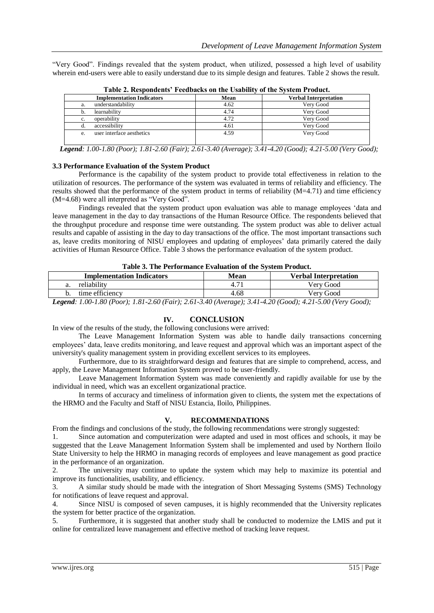"Very Good". Findings revealed that the system product, when utilized, possessed a high level of usability wherein end-users were able to easily understand due to its simple design and features. Table 2 shows the result.

| <b>Implementation Indicators</b> | Mean | <b>Verbal Interpretation</b> |
|----------------------------------|------|------------------------------|
| understandability<br>a.          | 4.62 | Very Good                    |
| learnability                     | 4.74 | Verv Good                    |
| operability<br>c.                | 4.72 | Very Good                    |
| accessibility                    | 4.61 | Verv Good                    |
| user interface aesthetics<br>e.  | 4.59 | Very Good                    |

**Table 2. Respondents' Feedbacks on the Usability of the System Product.**

 *Legend: 1.00-1.80 (Poor); 1.81-2.60 (Fair); 2.61-3.40 (Average); 3.41-4.20 (Good); 4.21-5.00 (Very Good);*

### **3.3 Performance Evaluation of the System Product**

Performance is the capability of the system product to provide total effectiveness in relation to the utilization of resources. The performance of the system was evaluated in terms of reliability and efficiency. The results showed that the performance of the system product in terms of reliability (M=4.71) and time efficiency (M=4.68) were all interpreted as "Very Good".

Findings revealed that the system product upon evaluation was able to manage employees 'data and leave management in the day to day transactions of the Human Resource Office. The respondents believed that the throughput procedure and response time were outstanding. The system product was able to deliver actual results and capable of assisting in the day to day transactions of the office. The most important transactions such as, leave credits monitoring of NISU employees and updating of employees' data primarily catered the daily activities of Human Resource Office. Table 3 shows the performance evaluation of the system product.

|  |  |  | Table 3. The Performance Evaluation of the System Product. |  |  |  |  |
|--|--|--|------------------------------------------------------------|--|--|--|--|
|--|--|--|------------------------------------------------------------|--|--|--|--|

| <b>Implementation Indicators</b> | Mean | <b>Verbal Interpretation</b> |
|----------------------------------|------|------------------------------|
| reliability                      |      | Verv Good                    |
| time efficiency                  | 4.68 | Verv Good                    |

*Legend: 1.00-1.80 (Poor); 1.81-2.60 (Fair); 2.61-3.40 (Average); 3.41-4.20 (Good); 4.21-5.00 (Very Good);*

# **IV. CONCLUSION**

### In view of the results of the study, the following conclusions were arrived:

The Leave Management Information System was able to handle daily transactions concerning employees' data, leave credits monitoring, and leave request and approval which was an important aspect of the university's quality management system in providing excellent services to its employees.

Furthermore, due to its straightforward design and features that are simple to comprehend, access, and apply, the Leave Management Information System proved to be user-friendly.

Leave Management Information System was made conveniently and rapidly available for use by the individual in need, which was an excellent organizational practice.

In terms of accuracy and timeliness of information given to clients, the system met the expectations of the HRMO and the Faculty and Staff of NISU Estancia, Iloilo, Philippines.

### **V. RECOMMENDATIONS**

From the findings and conclusions of the study, the following recommendations were strongly suggested:

1. Since automation and computerization were adapted and used in most offices and schools, it may be suggested that the Leave Management Information System shall be implemented and used by Northern Iloilo State University to help the HRMO in managing records of employees and leave management as good practice in the performance of an organization.

2. The university may continue to update the system which may help to maximize its potential and improve its functionalities, usability, and efficiency.

3. A similar study should be made with the integration of Short Messaging Systems (SMS) Technology for notifications of leave request and approval.

4. Since NISU is composed of seven campuses, it is highly recommended that the University replicates the system for better practice of the organization.

5. Furthermore, it is suggested that another study shall be conducted to modernize the LMIS and put it online for centralized leave management and effective method of tracking leave request.